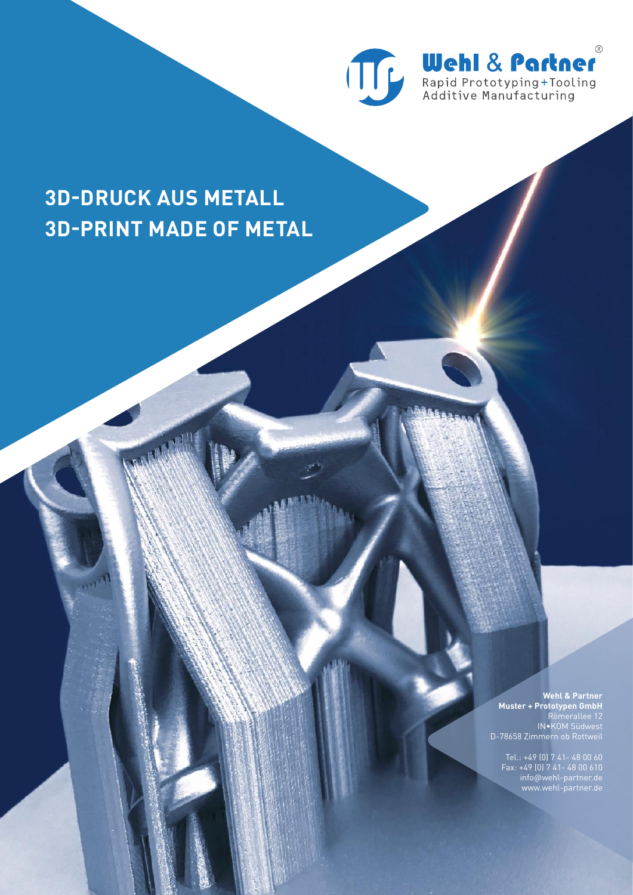

# **3D-DRUCK AUS METALL 3D-PRINT MADE OF METAL**

**CONTRACTOR** 

**Wehl & Partner Muster + Prototypen GmbH** Römerallee 12 IN•KOM Südwest D-78658 Zimmern ob Rottweil

Tel.: +49 (0) 7 41- 48 00 60 Fax: +49 (0) 7 41- 48 00 610 info@wehl-partner.de www.wehl-partner.de